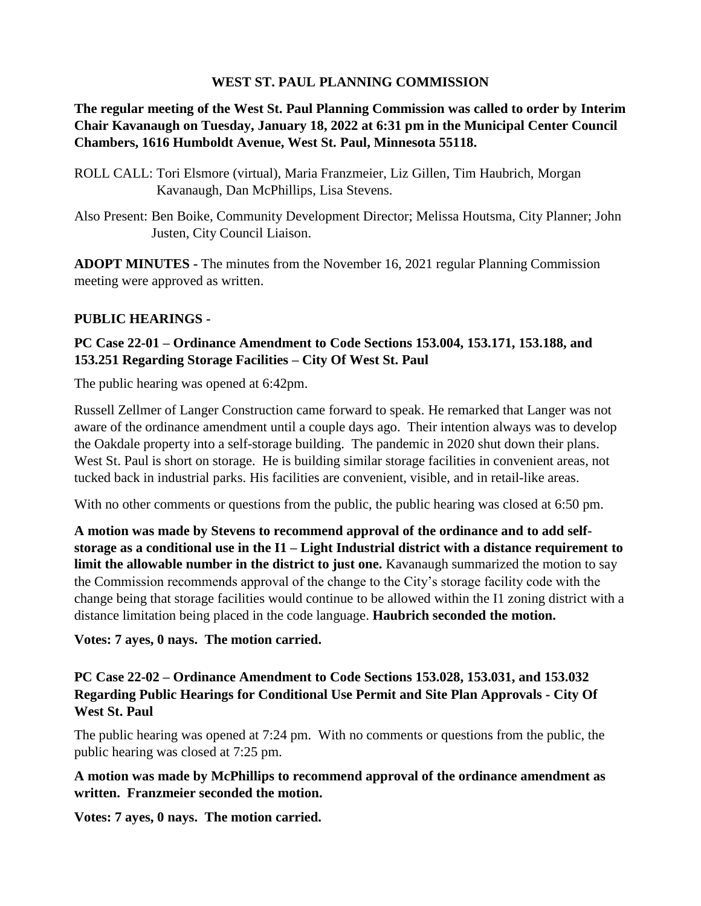## **WEST ST. PAUL PLANNING COMMISSION**

**The regular meeting of the West St. Paul Planning Commission was called to order by Interim Chair Kavanaugh on Tuesday, January 18, 2022 at 6:31 pm in the Municipal Center Council Chambers, 1616 Humboldt Avenue, West St. Paul, Minnesota 55118.**

- ROLL CALL: Tori Elsmore (virtual), Maria Franzmeier, Liz Gillen, Tim Haubrich, Morgan Kavanaugh, Dan McPhillips, Lisa Stevens.
- Also Present: Ben Boike, Community Development Director; Melissa Houtsma, City Planner; John Justen, City Council Liaison.

**ADOPT MINUTES -** The minutes from the November 16, 2021 regular Planning Commission meeting were approved as written.

## **PUBLIC HEARINGS -**

# **PC Case 22-01 – Ordinance Amendment to Code Sections 153.004, 153.171, 153.188, and 153.251 Regarding Storage Facilities – City Of West St. Paul**

The public hearing was opened at 6:42pm.

Russell Zellmer of Langer Construction came forward to speak. He remarked that Langer was not aware of the ordinance amendment until a couple days ago. Their intention always was to develop the Oakdale property into a self-storage building. The pandemic in 2020 shut down their plans. West St. Paul is short on storage. He is building similar storage facilities in convenient areas, not tucked back in industrial parks. His facilities are convenient, visible, and in retail-like areas.

With no other comments or questions from the public, the public hearing was closed at 6:50 pm.

**A motion was made by Stevens to recommend approval of the ordinance and to add selfstorage as a conditional use in the I1 – Light Industrial district with a distance requirement to limit the allowable number in the district to just one.** Kavanaugh summarized the motion to say the Commission recommends approval of the change to the City's storage facility code with the change being that storage facilities would continue to be allowed within the I1 zoning district with a distance limitation being placed in the code language. **Haubrich seconded the motion.** 

**Votes: 7 ayes, 0 nays. The motion carried.**

# **PC Case 22-02 – Ordinance Amendment to Code Sections 153.028, 153.031, and 153.032 Regarding Public Hearings for Conditional Use Permit and Site Plan Approvals - City Of West St. Paul**

The public hearing was opened at 7:24 pm. With no comments or questions from the public, the public hearing was closed at 7:25 pm.

## **A motion was made by McPhillips to recommend approval of the ordinance amendment as written. Franzmeier seconded the motion.**

**Votes: 7 ayes, 0 nays. The motion carried.**